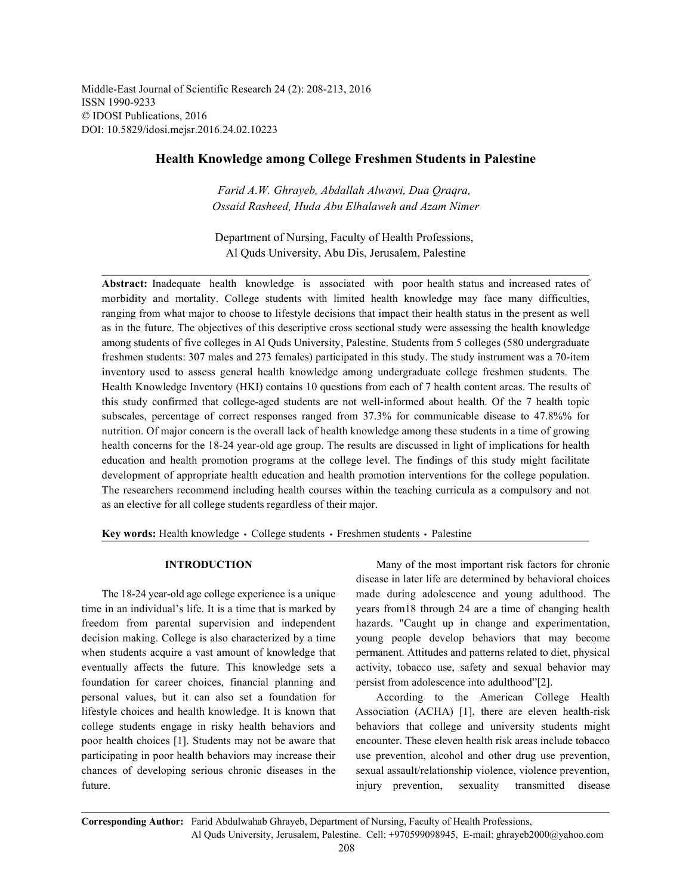Middle-East Journal of Scientific Research 24 (2): 208-213, 2016 ISSN 1990-9233 © IDOSI Publications, 2016 DOI: 10.5829/idosi.mejsr.2016.24.02.10223

# **Health Knowledge among College Freshmen Students in Palestine**

*Farid A.W. Ghrayeb, Abdallah Alwawi, Dua Qraqra, Ossaid Rasheed, Huda Abu Elhalaweh and Azam Nimer*

Department of Nursing, Faculty of Health Professions, Al Quds University, Abu Dis, Jerusalem, Palestine

**Abstract:** Inadequate health knowledge is associated with poor health status and increased rates of morbidity and mortality. College students with limited health knowledge may face many difficulties, ranging from what major to choose to lifestyle decisions that impact their health status in the present as well as in the future. The objectives of this descriptive cross sectional study were assessing the health knowledge among students of five colleges in Al Quds University, Palestine. Students from 5 colleges (580 undergraduate freshmen students: 307 males and 273 females) participated in this study. The study instrument was a 70-item inventory used to assess general health knowledge among undergraduate college freshmen students. The Health Knowledge Inventory (HKI) contains 10 questions from each of 7 health content areas. The results of this study confirmed that college-aged students are not well-informed about health. Of the 7 health topic subscales, percentage of correct responses ranged from 37.3% for communicable disease to 47.8%% for nutrition. Of major concern is the overall lack of health knowledge among these students in a time of growing health concerns for the 18-24 year-old age group. The results are discussed in light of implications for health education and health promotion programs at the college level. The findings of this study might facilitate development of appropriate health education and health promotion interventions for the college population. The researchers recommend including health courses within the teaching curricula as a compulsory and not as an elective for all college students regardless of their major.

Key words: Health knowledge · College students · Freshmen students · Palestine

time in an individual's life. It is a time that is marked by years from18 through 24 are a time of changing health freedom from parental supervision and independent hazards. "Caught up in change and experimentation, decision making. College is also characterized by a time young people develop behaviors that may become when students acquire a vast amount of knowledge that permanent. Attitudes and patterns related to diet, physical eventually affects the future. This knowledge sets a activity, tobacco use, safety and sexual behavior may foundation for career choices, financial planning and persist from adolescence into adulthood"[2]. personal values, but it can also set a foundation for According to the American College Health lifestyle choices and health knowledge. It is known that Association (ACHA) [1], there are eleven health-risk college students engage in risky health behaviors and behaviors that college and university students might poor health choices [1]. Students may not be aware that encounter. These eleven health risk areas include tobacco participating in poor health behaviors may increase their use prevention, alcohol and other drug use prevention, chances of developing serious chronic diseases in the sexual assault/relationship violence, violence prevention, future. injury prevention, sexuality transmitted disease

**INTRODUCTION** Many of the most important risk factors for chronic The 18-24 year-old age college experience is a unique made during adolescence and young adulthood. The disease in later life are determined by behavioral choices

**Corresponding Author:** Farid Abdulwahab Ghrayeb, Department of Nursing, Faculty of Health Professions, Al Quds University, Jerusalem, Palestine. Cell: +970599098945, E-mail: ghrayeb2000@yahoo.com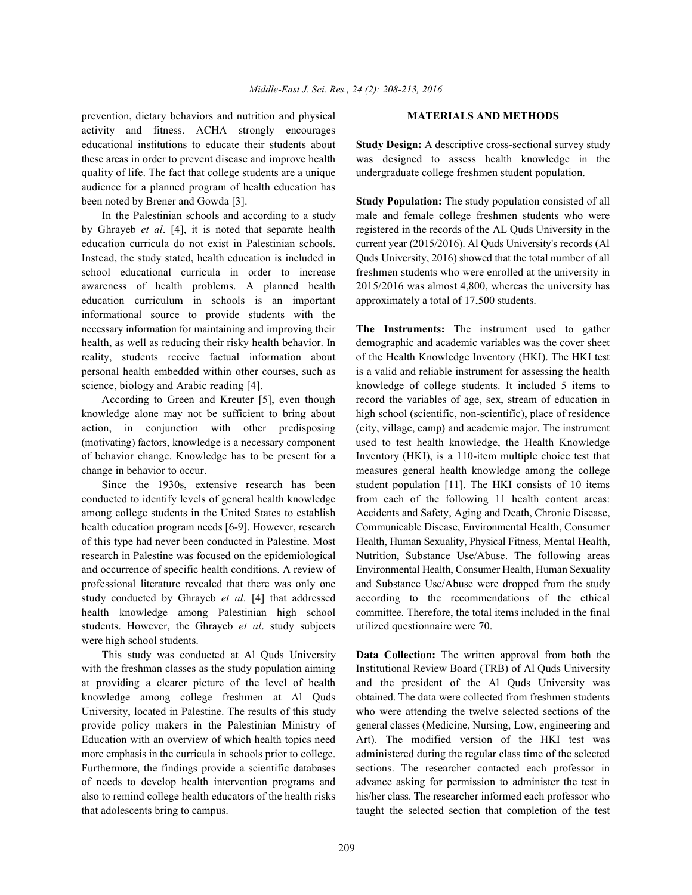prevention, dietary behaviors and nutrition and physical **MATERIALS AND METHODS** activity and fitness. ACHA strongly encourages educational institutions to educate their students about **Study Design:** A descriptive cross-sectional survey study these areas in order to prevent disease and improve health was designed to assess health knowledge in the quality of life. The fact that college students are a unique undergraduate college freshmen student population. audience for a planned program of health education has been noted by Brener and Gowda [3]. **Study Population:** The study population consisted of all

by Ghrayeb *et al*. [4], it is noted that separate health registered in the records of the AL Quds University in the education curricula do not exist in Palestinian schools. current year (2015/2016). Al Quds University's records (Al Instead, the study stated, health education is included in Quds University, 2016) showed that the total number of all school educational curricula in order to increase freshmen students who were enrolled at the university in awareness of health problems. A planned health 2015/2016 was almost 4,800, whereas the university has education curriculum in schools is an important approximately a total of 17,500 students. informational source to provide students with the necessary information for maintaining and improving their **The Instruments:** The instrument used to gather health, as well as reducing their risky health behavior. In demographic and academic variables was the cover sheet reality, students receive factual information about of the Health Knowledge Inventory (HKI). The HKI test personal health embedded within other courses, such as is a valid and reliable instrument for assessing the health

knowledge alone may not be sufficient to bring about high school (scientific, non-scientific), place of residence action, in conjunction with other predisposing (city, village, camp) and academic major. The instrument (motivating) factors, knowledge is a necessary component used to test health knowledge, the Health Knowledge of behavior change. Knowledge has to be present for a Inventory (HKI), is a 110-item multiple choice test that change in behavior to occur. measures general health knowledge among the college

conducted to identify levels of general health knowledge from each of the following 11 health content areas: among college students in the United States to establish Accidents and Safety, Aging and Death, Chronic Disease, health education program needs [6-9]. However, research Communicable Disease, Environmental Health, Consumer of this type had never been conducted in Palestine. Most Health, Human Sexuality, Physical Fitness, Mental Health, research in Palestine was focused on the epidemiological Nutrition, Substance Use/Abuse. The following areas and occurrence of specific health conditions. A review of Environmental Health, Consumer Health, Human Sexuality professional literature revealed that there was only one and Substance Use/Abuse were dropped from the study study conducted by Ghrayeb *et al*. [4] that addressed according to the recommendations of the ethical health knowledge among Palestinian high school committee. Therefore, the total items included in the final students. However, the Ghrayeb *et al*. study subjects utilized questionnaire were 70. were high school students.

with the freshman classes as the study population aiming Institutional Review Board (TRB) of Al Quds University at providing a clearer picture of the level of health and the president of the Al Quds University was knowledge among college freshmen at Al Quds obtained. The data were collected from freshmen students University, located in Palestine. The results of this study who were attending the twelve selected sections of the provide policy makers in the Palestinian Ministry of general classes (Medicine, Nursing, Low, engineering and Education with an overview of which health topics need Art). The modified version of the HKI test was more emphasis in the curricula in schools prior to college. administered during the regular class time of the selected Furthermore, the findings provide a scientific databases sections. The researcher contacted each professor in of needs to develop health intervention programs and advance asking for permission to administer the test in also to remind college health educators of the health risks his/her class. The researcher informed each professor who that adolescents bring to campus. taught the selected section that completion of the test

In the Palestinian schools and according to a study male and female college freshmen students who were

science, biology and Arabic reading [4]. knowledge of college students. It included 5 items to According to Green and Kreuter [5], even though record the variables of age, sex, stream of education in Since the 1930s, extensive research has been student population [11]. The HKI consists of 10 items

This study was conducted at Al Quds University **Data Collection:** The written approval from both the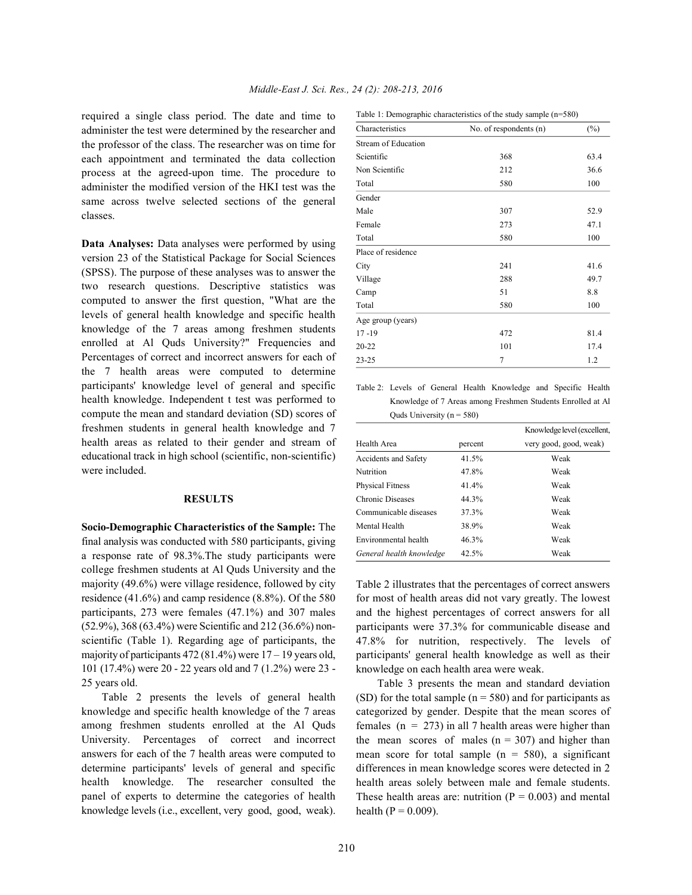required a single class period. The date and time to administer the test were determined by the researcher and the professor of the class. The researcher was on time for each appointment and terminated the data collection process at the agreed-upon time. The procedure to administer the modified version of the HKI test was the same across twelve selected sections of the general classes.

**Data Analyses:** Data analyses were performed by using version 23 of the Statistical Package for Social Sciences (SPSS). The purpose of these analyses was to answer the two research questions. Descriptive statistics was computed to answer the first question, "What are the levels of general health knowledge and specific health knowledge of the 7 areas among freshmen students enrolled at Al Quds University?" Frequencies and Percentages of correct and incorrect answers for each of the 7 health areas were computed to determine participants' knowledge level of general and specific health knowledge. Independent t test was performed to compute the mean and standard deviation (SD) scores of freshmen students in general health knowledge and 7 health areas as related to their gender and stream of educational track in high school (scientific, non-scientific) were included.

## **RESULTS**

**Socio-Demographic Characteristics of the Sample:** The final analysis was conducted with 580 participants, giving a response rate of 98.3%.The study participants were college freshmen students at Al Quds University and the majority (49.6%) were village residence, followed by city residence (41.6%) and camp residence (8.8%). Of the 580 participants, 273 were females (47.1%) and 307 males (52.9%), 368 (63.4%) were Scientific and 212 (36.6%) nonscientific (Table 1). Regarding age of participants, the majority of participants 472 (81.4%) were  $17 - 19$  years old, 101 (17.4%) were 20 - 22 years old and 7 (1.2%) were 23 - 25 years old.

Table 2 presents the levels of general health knowledge and specific health knowledge of the 7 areas among freshmen students enrolled at the Al Quds University. Percentages of correct and incorrect answers for each of the 7 health areas were computed to determine participants' levels of general and specific health knowledge. The researcher consulted the panel of experts to determine the categories of health knowledge levels (i.e., excellent, very good, good, weak).

Table 1: Demographic characteristics of the study sample (n=580)

| Characteristics     | No. of respondents (n) | $(\%)$ |
|---------------------|------------------------|--------|
| Stream of Education |                        |        |
| Scientific          | 368                    | 63.4   |
| Non Scientific      | 212                    | 36.6   |
| Total               | 580                    | 100    |
| Gender              |                        |        |
| Male                | 307                    | 52.9   |
| Female              | 273                    | 47.1   |
| Total               | 580                    | 100    |
| Place of residence  |                        |        |
| City                | 241                    | 41.6   |
| Village             | 288                    | 49.7   |
| Camp                | 51                     | 8.8    |
| Total               | 580                    | 100    |
| Age group (years)   |                        |        |
| $17 - 19$           | 472                    | 81.4   |
| $20 - 22$           | 101                    | 17.4   |
| $23 - 25$           | 7                      | 1.2    |

Table 2: Levels of General Health Knowledge and Specific Health Knowledge of 7 Areas among Freshmen Students Enrolled at Al Quds University ( $n = 580$ )

|                          |         | Knowledge level (excellent, |
|--------------------------|---------|-----------------------------|
| Health Area              | percent | very good, good, weak)      |
| Accidents and Safety     | 41.5%   | Weak                        |
| Nutrition                | 47.8%   | Weak                        |
| <b>Physical Fitness</b>  | 41.4%   | Weak                        |
| Chronic Diseases         | 44.3%   | Weak                        |
| Communicable diseases    | 37.3%   | Weak                        |
| Mental Health            | 38.9%   | Weak                        |
| Environmental health     | 46.3%   | Weak                        |
| General health knowledge | 42.5%   | Weak                        |

Table 2 illustrates that the percentages of correct answers for most of health areas did not vary greatly. The lowest and the highest percentages of correct answers for all participants were 37.3% for communicable disease and 47.8% for nutrition, respectively. The levels of participants' general health knowledge as well as their knowledge on each health area were weak.

Table 3 presents the mean and standard deviation (SD) for the total sample ( $n = 580$ ) and for participants as categorized by gender. Despite that the mean scores of females ( $n = 273$ ) in all 7 health areas were higher than the mean scores of males  $(n = 307)$  and higher than mean score for total sample  $(n = 580)$ , a significant differences in mean knowledge scores were detected in 2 health areas solely between male and female students. These health areas are: nutrition ( $P = 0.003$ ) and mental health ( $P = 0.009$ ).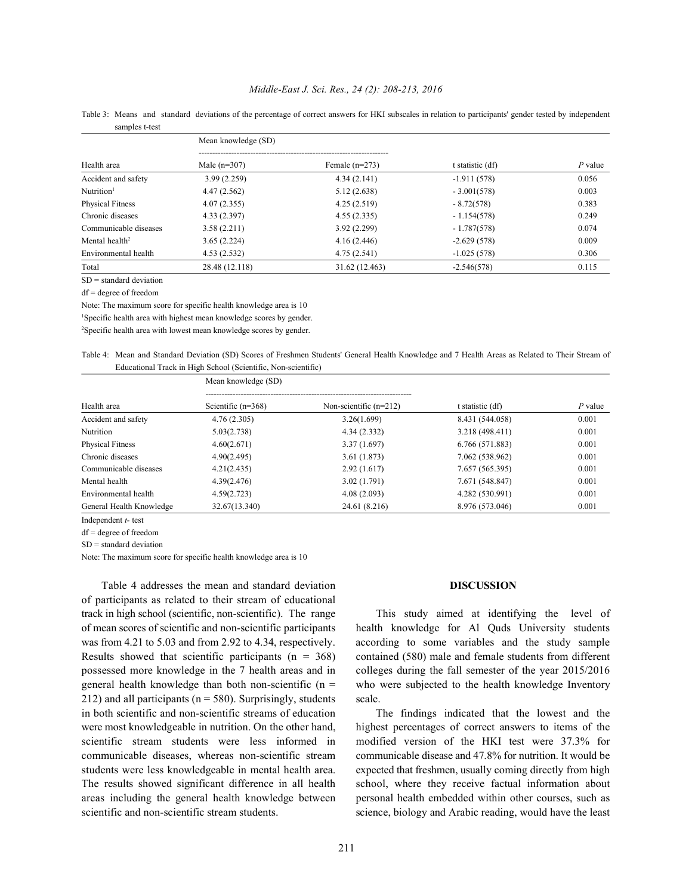## *Middle-East J. Sci. Res., 24 (2): 208-213, 2016*

Table 3: Means and standard deviations of the percentage of correct answers for HKI subscales in relation to participants' gender tested by independent samples t-test

| Health area                | Mean knowledge (SD) |                  |                  |           |
|----------------------------|---------------------|------------------|------------------|-----------|
|                            | Male $(n=307)$      | Female $(n=273)$ | t statistic (df) | $P$ value |
| Accident and safety        | 3.99(2.259)         | 4.34(2.141)      | $-1.911(578)$    | 0.056     |
| $N$ utrition <sup>1</sup>  | 4.47(2.562)         | 5.12(2.638)      | $-3.001(578)$    | 0.003     |
| <b>Physical Fitness</b>    | 4.07(2.355)         | 4.25(2.519)      | $-8.72(578)$     | 0.383     |
| Chronic diseases           | 4.33(2.397)         | 4.55(2.335)      | $-1.154(578)$    | 0.249     |
| Communicable diseases      | 3.58(2.211)         | 3.92(2.299)      | $-1.787(578)$    | 0.074     |
| Mental health <sup>2</sup> | 3.65(2.224)         | 4.16(2.446)      | $-2.629(578)$    | 0.009     |
| Environmental health       | 4.53(2.532)         | 4.75(2.541)      | $-1.025(578)$    | 0.306     |
| Total                      | 28.48 (12.118)      | 31.62 (12.463)   | $-2.546(578)$    | 0.115     |

SD = standard deviation

df = degree of freedom

Note: The maximum score for specific health knowledge area is 10

<sup>1</sup>Specific health area with highest mean knowledge scores by gender.

<sup>2</sup>Specific health area with lowest mean knowledge scores by gender.

Table 4: Mean and Standard Deviation (SD) Scores of Freshmen Students' General Health Knowledge and 7 Health Areas as Related to Their Stream of Educational Track in High School (Scientific, Non-scientific)

| Health area                            | Mean knowledge (SD)  |                          |                  |           |
|----------------------------------------|----------------------|--------------------------|------------------|-----------|
|                                        | Scientific $(n=368)$ | Non-scientific $(n=212)$ | t statistic (df) | $P$ value |
| Accident and safety                    | 4.76(2.305)          | 3.26(1.699)              | 8.431 (544.058)  | 0.001     |
| Nutrition                              | 5.03(2.738)          | 4.34(2.332)              | 3.218 (498.411)  | 0.001     |
| <b>Physical Fitness</b>                | 4.60(2.671)          | 3.37(1.697)              | 6.766 (571.883)  | 0.001     |
| Chronic diseases                       | 4.90(2.495)          | 3.61(1.873)              | 7.062 (538.962)  | 0.001     |
| Communicable diseases                  | 4.21(2.435)          | 2.92(1.617)              | 7.657 (565.395)  | 0.001     |
| Mental health                          | 4.39(2.476)          | 3.02(1.791)              | 7.671 (548.847)  | 0.001     |
| Environmental health                   | 4.59(2.723)          | 4.08(2.093)              | 4.282 (530.991)  | 0.001     |
| General Health Knowledge               | 32.67(13.340)        | 24.61 (8.216)            | 8.976 (573.046)  | 0.001     |
| The discussion discussion of the state |                      |                          |                  |           |

Independent *t-* test

df = degree of freedom

SD = standard deviation

Note: The maximum score for specific health knowledge area is 10

Table 4 addresses the mean and standard deviation **DISCUSSION** of participants as related to their stream of educational track in high school (scientific, non-scientific). The range This study aimed at identifying the level of of mean scores of scientific and non-scientific participants health knowledge for Al Quds University students was from 4.21 to 5.03 and from 2.92 to 4.34, respectively. according to some variables and the study sample Results showed that scientific participants ( $n = 368$ ) contained (580) male and female students from different possessed more knowledge in the 7 health areas and in colleges during the fall semester of the year 2015/2016 general health knowledge than both non-scientific  $(n = w$ ho were subjected to the health knowledge Inventory 212) and all participants ( $n = 580$ ). Surprisingly, students scale. in both scientific and non-scientific streams of education The findings indicated that the lowest and the were most knowledgeable in nutrition. On the other hand, highest percentages of correct answers to items of the scientific stream students were less informed in modified version of the HKI test were 37.3% for communicable diseases, whereas non-scientific stream communicable disease and 47.8% for nutrition. It would be students were less knowledgeable in mental health area. expected that freshmen, usually coming directly from high The results showed significant difference in all health school, where they receive factual information about areas including the general health knowledge between personal health embedded within other courses, such as

scientific and non-scientific stream students. science, biology and Arabic reading, would have the least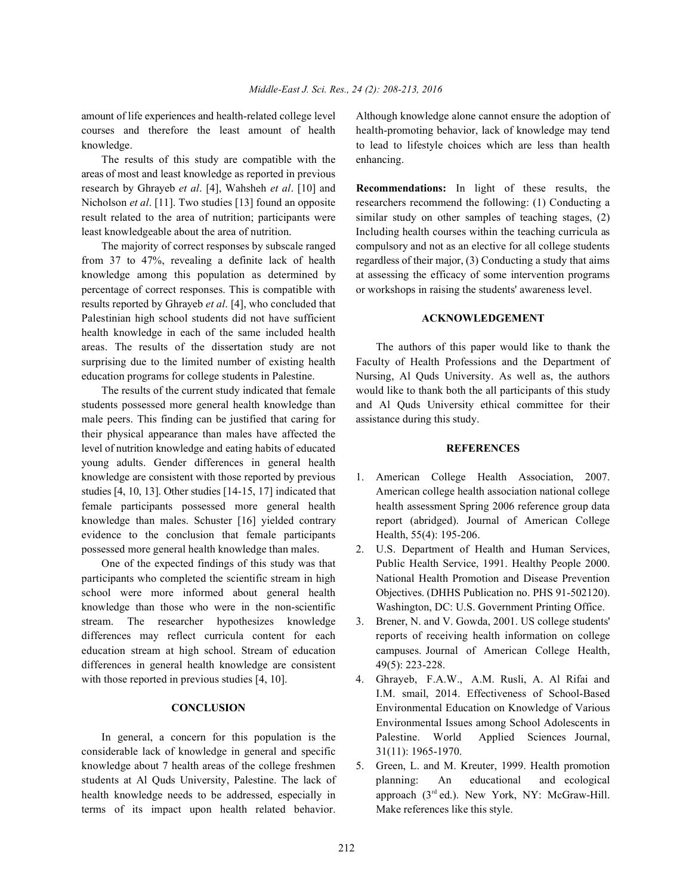courses and therefore the least amount of health health-promoting behavior, lack of knowledge may tend knowledge. to lead to lifestyle choices which are less than health

The results of this study are compatible with the enhancing. areas of most and least knowledge as reported in previous research by Ghrayeb *et al*. [4], Wahsheh *et al*. [10] and **Recommendations:** In light of these results, the Nicholson *et al.* [11]. Two studies [13] found an opposite researchers recommend the following: (1) Conducting a result related to the area of nutrition; participants were similar study on other samples of teaching stages, (2) least knowledgeable about the area of nutrition. Including health courses within the teaching curricula as

from 37 to 47%, revealing a definite lack of health regardless of their major, (3) Conducting a study that aims knowledge among this population as determined by at assessing the efficacy of some intervention programs percentage of correct responses. This is compatible with or workshops in raising the students' awareness level. results reported by Ghrayeb *et al*. [4], who concluded that Palestinian high school students did not have sufficient **ACKNOWLEDGEMENT** health knowledge in each of the same included health areas. The results of the dissertation study are not The authors of this paper would like to thank the surprising due to the limited number of existing health Faculty of Health Professions and the Department of education programs for college students in Palestine. Nursing, Al Quds University. As well as, the authors

students possessed more general health knowledge than and Al Quds University ethical committee for their male peers. This finding can be justified that caring for assistance during this study. their physical appearance than males have affected the level of nutrition knowledge and eating habits of educated **REFERENCES** young adults. Gender differences in general health knowledge are consistent with those reported by previous 1. American College Health Association, 2007. studies [4, 10, 13]. Other studies [14-15, 17] indicated that American college health association national college female participants possessed more general health health assessment Spring 2006 reference group data knowledge than males. Schuster [16] yielded contrary report (abridged). Journal of American College evidence to the conclusion that female participants Health, 55(4): 195-206. possessed more general health knowledge than males. 2. U.S. Department of Health and Human Services,

participants who completed the scientific stream in high National Health Promotion and Disease Prevention school were more informed about general health Objectives. (DHHS Publication no. PHS 91-502120). knowledge than those who were in the non-scientific Washington, DC: U.S. Government Printing Office. stream. The researcher hypothesizes knowledge 3. Brener, N. and V. Gowda, 2001. US college students' differences may reflect curricula content for each reports of receiving health information on college education stream at high school. Stream of education campuses. Journal of American College Health, differences in general health knowledge are consistent 49(5): 223-228. with those reported in previous studies [4, 10]. 4. Ghrayeb, F.A.W., A.M. Rusli, A. Al Rifai and

considerable lack of knowledge in general and specific 31(11): 1965-1970. knowledge about 7 health areas of the college freshmen 5. Green, L. and M. Kreuter, 1999. Health promotion students at Al Quds University, Palestine. The lack of planning: An educational and ecological health knowledge needs to be addressed, especially in terms of its impact upon health related behavior. Make references like this style.

amount of life experiences and health-related college level Although knowledge alone cannot ensure the adoption of

The majority of correct responses by subscale ranged compulsory and not as an elective for all college students

The results of the current study indicated that female would like to thank both the all participants of this study

- 
- One of the expected findings of this study was that Public Health Service, 1991. Healthy People 2000.
	-
- **CONCLUSION** Environmental Education on Knowledge of Various In general, a concern for this population is the Palestine. World Applied Sciences Journal, I.M. smail, 2014. Effectiveness of School-Based Environmental Issues among School Adolescents in
	- approach (3rd ed.). New York, NY: McGraw-Hill.